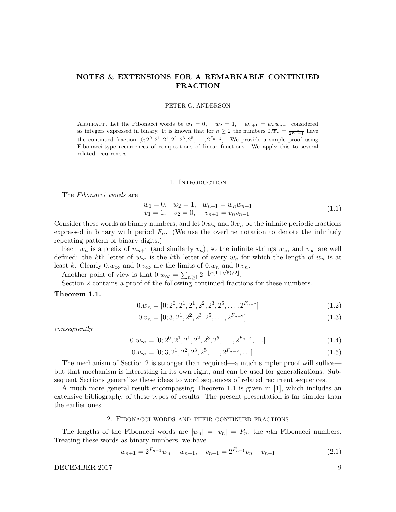# NOTES & EXTENSIONS FOR A REMARKABLE CONTINUED FRACTION

### PETER G. ANDERSON

ABSTRACT. Let the Fibonacci words be  $w_1 = 0$ ,  $w_2 = 1$ ,  $w_{n+1} = w_n w_{n-1}$  considered as integers expressed in binary. It is known that for  $n \geq 2$  the numbers  $0.\overline{w}_n = \frac{w_n}{2F_n-1}$  have the continued fraction  $[0; 2^0, 2^1, 2^1, 2^2, 2^3, 2^5, \ldots, 2^{F_{n-2}}]$ . We provide a simple proof using Fibonacci-type recurrences of compositions of linear functions. We apply this to several related recurrences.

#### 1. Introduction

The Fibonacci words are

$$
w_1 = 0, \quad w_2 = 1, \quad w_{n+1} = w_n w_{n-1}
$$
  
\n
$$
v_1 = 1, \quad v_2 = 0, \quad v_{n+1} = v_n v_{n-1}
$$
\n(1.1)

Consider these words as binary numbers, and let  $0.\overline{w}_n$  and  $0.\overline{v}_n$  be the infinite periodic fractions expressed in binary with period  $F_n$ . (We use the overline notation to denote the infinitely repeating pattern of binary digits.)

Each  $w_n$  is a prefix of  $w_{n+1}$  (and similarly  $v_n$ ), so the infinite strings  $w_\infty$  and  $v_\infty$  are well defined: the kth letter of  $w_{\infty}$  is the kth letter of every  $w_n$  for which the length of  $w_n$  is at least k. Clearly  $0.w_{\infty}$  and  $0.v_{\infty}$  are the limits of  $0.\overline{w}_n$  and  $0.\overline{v}_n$ .

Another point of view is that  $0.w_{\infty} = \sum_{n\geq 1} 2^{-\lfloor n(1+\sqrt{5})/2 \rfloor}$ .

Section 2 contains a proof of the following continued fractions for these numbers.

### Theorem 1.1.

$$
0.\overline{w}_n = [0; 2^0, 2^1, 2^1, 2^2, 2^3, 2^5, \dots, 2^{F_{n-2}}]
$$
\n
$$
(1.2)
$$

$$
0.\overline{v}_n = [0; 3, 2^1, 2^2, 2^3, 2^5, \dots, 2^{F_{n-2}}]
$$
\n
$$
(1.3)
$$

consequently

$$
0.w_{\infty} = [0; 2^0, 2^1, 2^1, 2^2, 2^3, 2^5, \dots, 2^{F_{n-2}}, \dots]
$$
\n(1.4)

$$
0.v_{\infty} = [0; 3, 2^1, 2^2, 2^3, 2^5, \dots, 2^{F_{n-2}}, \dots]
$$
\n
$$
(1.5)
$$

The mechanism of Section 2 is stronger than required—a much simpler proof will suffice but that mechanism is interesting in its own right, and can be used for generalizations. Subsequent Sections generalize these ideas to word sequences of related recurrent sequences.

A much more general result encompassing Theorem 1.1 is given in [1], which includes an extensive bibliography of these types of results. The present presentation is far simpler than the earlier ones.

### 2. Fibonacci words and their continued fractions

The lengths of the Fibonacci words are  $|w_n| = |v_n| = F_n$ , the *n*th Fibonacci numbers. Treating these words as binary numbers, we have

$$
w_{n+1} = 2^{F_{n-1}}w_n + w_{n-1}, \quad v_{n+1} = 2^{F_{n-1}}v_n + v_{n-1}
$$
\n
$$
(2.1)
$$

DECEMBER 2017

$$
9\phantom{.0}
$$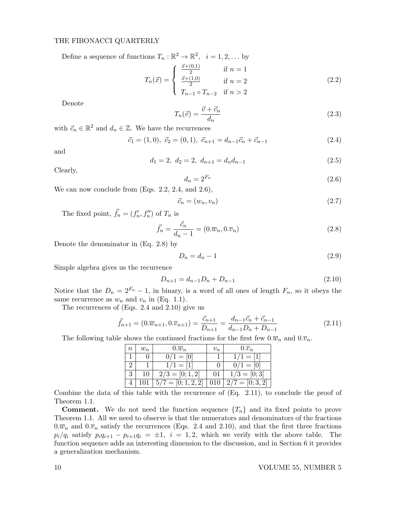# THE FIBONACCI QUARTERLY

Define a sequence of functions  $T_n : \mathbb{R}^2 \to \mathbb{R}^2$ ,  $i = 1, 2, ...$  by

$$
T_n(\vec{x}) = \begin{cases} \frac{\vec{x} + (0,1)}{2} & \text{if } n = 1\\ \frac{\vec{x} + (1,0)}{2} & \text{if } n = 2\\ T_{n-1} \circ T_{n-2} & \text{if } n > 2 \end{cases}
$$
 (2.2)

Denote

$$
T_n(\vec{v}) = \frac{\vec{v} + \vec{c}_n}{d_n} \tag{2.3}
$$

with  $\vec{c}_n \in \mathbb{R}^2$  and  $d_n \in \mathbb{Z}$ . We have the recurrences

$$
\vec{c}_1 = (1,0), \ \vec{c}_2 = (0,1), \ \vec{c}_{n+1} = d_{n-1}\vec{c}_n + \vec{c}_{n-1} \tag{2.4}
$$

and

$$
d_1 = 2, \ d_2 = 2, \ d_{n+1} = d_n d_{n-1} \tag{2.5}
$$

Clearly,

$$
d_n = 2^{F_n} \tag{2.6}
$$

We can now conclude from (Eqs. 2.2, 2.4, and 2.6),

$$
\vec{c}_n = (w_n, v_n) \tag{2.7}
$$

The fixed point,  $\vec{f}_n = (f'_n, f''_n)$  of  $T_n$  is

$$
\vec{f}_n = \frac{\vec{c}_n}{d_n - 1} = (0.\overline{w}_n, 0.\overline{v}_n)
$$
\n(2.8)

Denote the denominator in (Eq. 2.8) by

$$
D_n = d_n - 1 \tag{2.9}
$$

Simple algebra gives us the recurrence

$$
D_{n+1} = d_{n-1}D_n + D_{n-1}
$$
\n(2.10)

Notice that the  $D_n = 2^{F_n} - 1$ , in binary, is a word of all ones of length  $F_n$ , so it obeys the same recurrence as  $w_n$  and  $v_n$  in (Eq. 1.1).

The recurrences of (Eqs. 2.4 and 2.10) give us

$$
\vec{f}_{n+1} = (0.\overline{w}_{n+1}, 0.\overline{v}_{n+1}) = \frac{\vec{c}_{n+1}}{D_{n+1}} = \frac{d_{n-1}\vec{c}_n + \vec{c}_{n-1}}{d_{n-1}D_n + D_{n-1}}
$$
(2.11)

The following table shows the continued fractions for the first few  $0.\overline{w}_n$  and  $0.\overline{v}_n$ .

| $\, n$ | $w_n$ | $0.\overline{w}_n$   | $v_n$ | $0.\overline{v}_n$ |
|--------|-------|----------------------|-------|--------------------|
|        |       | $0/1 = [0]$          |       | $\sqrt{1} = [1]$   |
|        |       | $1 = 11$             |       | $0/1 = [0]$        |
| 3      | 10    | $2/3 = [0; 1, 2]$    | 01    | $1/3=[0;3]$        |
|        |       | $5/7 = [0; 1, 2, 2]$ |       | $2/7=[0;3,2]$      |

Combine the data of this table with the recurrence of (Eq. 2.11), to conclude the proof of Theorem 1.1.

**Comment.** We do not need the function sequence  $\{T_n\}$  and its fixed points to prove Theorem 1.1. All we need to observe is that the numerators and denominators of the fractions  $0.\overline{w}_n$  and  $0.\overline{v}_n$  satisfy the recurrences (Eqs. 2.4 and 2.10), and that the first three fractions  $p_i/q_i$  satisfy  $p_iq_{i+1} - p_{i+1}q_i = \pm 1$ ,  $i = 1, 2$ , which we verify with the above table. The function sequence adds an interesting dimension to the discussion, and in Section 6 it provides a generalization mechanism.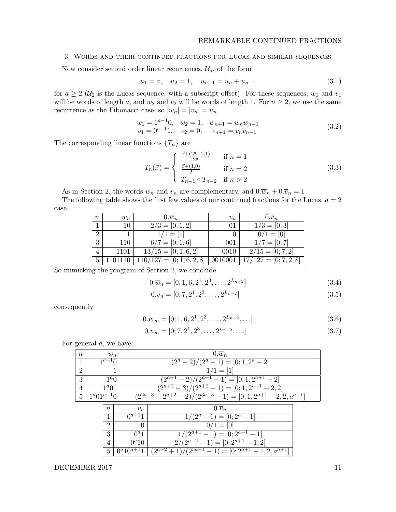# 3. Words and their continued fractions for Lucas and similar sequences

Now consider second order linear recurrences,  $\mathcal{U}_a$ , of the form

$$
u_1 = a, \quad u_2 = 1, \quad u_{n+1} = u_n + u_{n-1} \tag{3.1}
$$

for  $a \geq 2$  ( $\mathcal{U}_2$  is the Lucas sequence, with a subscript offset). For these sequences,  $w_1$  and  $v_1$ will be words of length a, and  $w_2$  and  $v_2$  will be words of length 1. For  $n \geq 2$ , we use the same recurrence as the Fibonacci case, so  $|w_n| = |v_n| = u_n$ .

$$
w_1 = 1a-10, \t w_2 = 1, \t w_{n+1} = w_n w_{n-1}
$$
  
\n
$$
v_1 = 0a-11, \t v_2 = 0, \t v_{n+1} = v_n v_{n-1}
$$
\n(3.2)

The corresponding linear functions  $\{T_n\}$  are

$$
T_n(\vec{x}) = \begin{cases} \frac{\vec{x} + (2^a - 2, 1)}{2^a} & \text{if } n = 1\\ \frac{\vec{x} + (1, 0)}{2} & \text{if } n = 2\\ T_{n-1} \circ T_{n-2} & \text{if } n > 2 \end{cases}
$$
(3.3)

As in Section 2, the words  $w_n$  and  $v_n$  are complementary, and  $0.\overline{w}_n + 0.\overline{v}_n = 1$ 

The following table shows the first few values of our continued fractions for the Lucas,  $a = 2$ case.

| $\boldsymbol{n}$ | $w_n$ | $0.\overline{w}_n$                | $v_n$ | $0.\overline{v}_n$            |
|------------------|-------|-----------------------------------|-------|-------------------------------|
|                  | 10    | $2/3 = [0; 1, 2]$                 | 01    | $1/3 = [0; 3]$                |
| $\overline{2}$   |       | $1/1 = [1]$                       |       | $0/1 = [0]$                   |
| 3                | 110   | $6/7 = [0; 1, 6]$                 | 001   | $1/7 = [0; 7]$                |
| 4                | 1101  | $\overline{13/15} = [0; 1, 6, 2]$ | 0010  | $\overline{2/15} = [0; 7, 2]$ |
|                  |       | $110/127 = [0; 1, 6, 2, 8]$       |       | $17/127 = [0; 7, 2, 8]$       |

So mimicking the program of Section 2, we conclude

$$
0.\overline{w}_n = [0; 1, 6, 2^1, 2^3, \dots, 2^{L_{n-2}}]
$$
\n(3.4)

$$
0.\overline{v}_n = [0; 7, 2^1, 2^3, \dots, 2^{L_{n-2}}]
$$
\n(3.5)

consequently

$$
0.w_{\infty} = [0; 1, 6, 2^1, 2^3, \dots, 2^{L_{n-2}}, \dots]
$$
\n(3.6)

$$
0.v_{\infty} = [0; 7, 2^1, 2^3, \dots, 2^{L_{n-2}}, \dots]
$$
\n(3.7)

For general a, we have:

| $\, n$         |                           | $w_n$          |                 | $0.\overline{w}_n$                                                          |  |  |  |
|----------------|---------------------------|----------------|-----------------|-----------------------------------------------------------------------------|--|--|--|
|                | $1^{a-1}0$                |                |                 | $(2^a-2)/(2^a-1) = [0;1,2^a-2]$                                             |  |  |  |
| $\overline{2}$ |                           |                |                 | $1 = 11$                                                                    |  |  |  |
| 3              | $1^{\alpha}$ <sup>0</sup> |                |                 | $(-2)/(2^{a+1})$<br>$(-1) = [0; 1, 2^{a+1} - 2]$<br>$2^{a+1}$               |  |  |  |
| $\overline{4}$ |                           | $1^a 01$       |                 | $(2^{a+2}-3)\sqrt{(2^{a+2}-1)}$<br>$= [0; 1, 2^{a+1} - 2, 2]$               |  |  |  |
| $\overline{5}$ | $1^a 01^{a+1} 0$          |                |                 | $\sqrt{(2^{2a+3}-2^{a+2}-2)/(2^{3a+3}-1)} = [0;1,2^{a+1}-2,2,a^{a+1}]$      |  |  |  |
|                |                           | $\, n$         | $v_n$           | $0.\overline{v}_n$                                                          |  |  |  |
|                |                           |                | $0^{a-1}1$      | $(2^a - 1) = [0; 2^a - 1]$                                                  |  |  |  |
|                |                           | 2              | 0               | $0/1 = 0$                                                                   |  |  |  |
|                |                           | 3              | $0^a1$          | $(-1) = [0; 2^{a+1} - 1]$<br>$(2^{a+1})$                                    |  |  |  |
|                |                           | $\overline{4}$ | $0^a 10$        | $\overline{(2^{a+2}-1)} = [0; 2^{a+1}-1, 2]$<br>$\mathcal{D}_{\mathcal{L}}$ |  |  |  |
|                |                           | 5              | $0^a 10^{a+1}1$ | $\overline{(2^{a+2}+1)/(2^{3a+1}-1)} = [0; 2^{a+1}-1, 2, a^{a+1}]$          |  |  |  |

DECEMBER 2017 11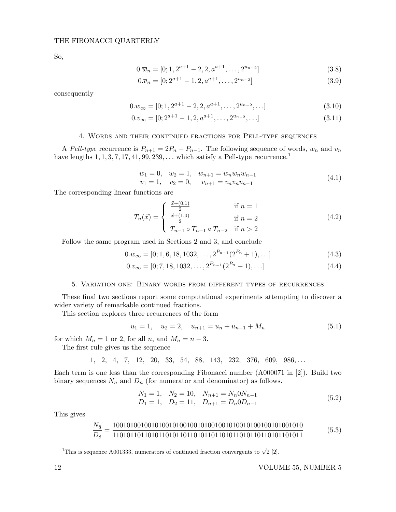So,

$$
0.\overline{w}_n = [0; 1, 2^{a+1} - 2, 2, a^{a+1}, \dots, 2^{u_{n-2}}]
$$
\n(3.8)

$$
0.\overline{v}_n = [0; 2^{a+1} - 1, 2, a^{a+1}, \dots, 2^{u_{n-2}}]
$$
\n(3.9)

consequently

$$
0.w_{\infty} = [0; 1, 2^{a+1} - 2, 2, a^{a+1}, \dots, 2^{u_{n-2}}, \dots]
$$
\n(3.10)

$$
0.v_{\infty} = [0; 2^{a+1} - 1, 2, a^{a+1}, \dots, 2^{u_{n-2}}, \dots]
$$
\n(3.11)

# 4. Words and their continued fractions for Pell-type sequences

A Pell-type recurrence is  $P_{n+1} = 2P_n + P_{n-1}$ . The following sequence of words,  $w_n$  and  $v_n$ have lengths  $1, 1, 3, 7, 17, 41, 99, 239, \ldots$  which satisfy a Pell-type recurrence.<sup>1</sup>

$$
w_1 = 0, \quad w_2 = 1, \quad w_{n+1} = w_n w_n w_{n-1}
$$
  
\n
$$
v_1 = 1, \quad v_2 = 0, \quad v_{n+1} = v_n v_n v_{n-1}
$$
\n
$$
(4.1)
$$

The corresponding linear functions are

$$
T_n(\vec{x}) = \begin{cases} \frac{\vec{x} + (0,1)}{2} & \text{if } n = 1\\ \frac{\vec{x} + (1,0)}{2} & \text{if } n = 2\\ T_{n-1} \circ T_{n-1} \circ T_{n-2} & \text{if } n > 2 \end{cases}
$$
(4.2)

Follow the same program used in Sections 2 and 3, and conclude

$$
0.w_{\infty} = [0; 1, 6, 18, 1032, \dots, 2^{P_{n-1}}(2^{P_n} + 1), \dots]
$$
\n(4.3)

$$
0.v_{\infty} = [0; 7, 18, 1032, \dots, 2^{P_{n-1}}(2^{P_n} + 1), \dots]
$$
\n(4.4)

### 5. Variation one: Binary words from different types of recurrences

These final two sections report some computational experiments attempting to discover a wider variety of remarkable continued fractions.

This section explores three recurrences of the form

$$
u_1 = 1, \quad u_2 = 2, \quad u_{n+1} = u_n + u_{n-1} + M_n \tag{5.1}
$$

for which  $M_n = 1$  or 2, for all n, and  $M_n = n - 3$ .

The first rule gives us the sequence

1, 2, 4, 7, 12, 20, 33, 54, 88, 143, 232, 376, 609, 986,...

Each term is one less than the corresponding Fibonacci number (A000071 in [2]). Build two binary sequences  $N_n$  and  $D_n$  (for numerator and denominator) as follows.

$$
N_1 = 1, \quad N_2 = 10, \quad N_{n+1} = N_n 0 N_{n-1}
$$
  
\n
$$
D_1 = 1, \quad D_2 = 11, \quad D_{n+1} = D_n 0 D_{n-1}
$$
\n(5.2)

This gives

N<sup>8</sup> D<sup>8</sup> = 100101001001010010100100101001001010010100100101001010 110101101101011010110110101101101011010110110101101011 (5.3)

 $\overline{11}$ This is sequence A001333, numerators of continued fraction convergents to  $\sqrt{2}$  [2].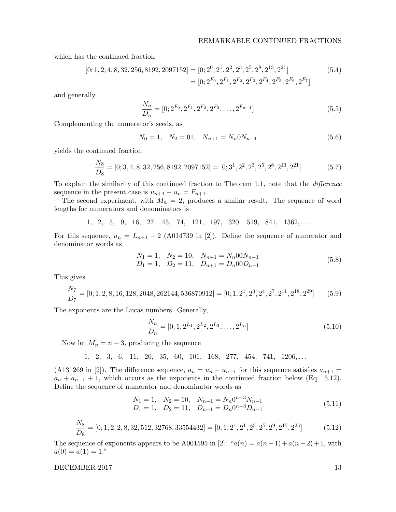which has the continued fraction

$$
[0; 1, 2, 4, 8, 32, 256, 8192, 2097152] = [0; 2^0, 2^1, 2^2, 2^3, 2^5, 2^8, 2^{13}, 2^{21}]
$$
  
= 
$$
[0; 2^{F_0}, 2^{F_1}, 2^{F_2}, 2^{F_3}, 2^{F_4}, 2^{F_5}, 2^{F_6}, 2^{F_7}]
$$
(5.4)

and generally

$$
\frac{N_n}{D_n} = [0; 2^{F_0}, 2^{F_1}, 2^{F_2}, 2^{F_3}, \dots, 2^{F_{n-1}}]
$$
\n(5.5)

Complementing the numerator's seeds, as

$$
N_0 = 1, \quad N_2 = 01, \quad N_{n+1} = N_n 0 N_{n-1}
$$
\n
$$
(5.6)
$$

yields the continued fraction

$$
\frac{N_8}{D_8} = [0; 3, 4, 8, 32, 256, 8192, 2097152] = [0; 3^1, 2^2, 2^3, 2^5, 2^8, 2^{13}, 2^{21}]
$$
\n(5.7)

To explain the similarity of this continued fraction to Theorem 1.1, note that the difference sequence in the present case is  $u_{n+1} - u_n = F_{n+1}$ .

The second experiment, with  $M_n = 2$ , produces a similar result. The sequence of word lengths for numerators and denominators is

1, 2, 5, 9, 16, 27, 45, 74, 121, 197, 320, 519, 841, 1362,...

For this sequence,  $u_n = L_{n+1} - 2$  (A014739 in [2]). Define the sequence of numerator and denominator words as

$$
N_1 = 1, \quad N_2 = 10, \quad N_{n+1} = N_n 00 N_{n-1}
$$
  
\n
$$
D_1 = 1, \quad D_2 = 11, \quad D_{n+1} = D_n 00 D_{n-1}
$$
\n(5.8)

This gives

$$
\frac{N_7}{D_7} = [0; 1, 2, 8, 16, 128, 2048, 262144, 536870912] = [0; 1, 2^1, 2^3, 2^4, 2^7, 2^{11}, 2^{18}, 2^{29}] \tag{5.9}
$$

The exponents are the Lucas numbers. Generally,

$$
\frac{N_n}{D_n} = [0; 1, 2^{L_1}, 2^{L_2}, 2^{L_3}, \dots, 2^{L_n}]
$$
\n(5.10)

Now let  $M_n = n - 3$ , producing the sequence

1, 2, 3, 6, 11, 20, 35, 60, 101, 168, 277, 454, 741, 1206,...

(A131269 in [2]). The difference sequence,  $a_n = u_n - u_{n-1}$  for this sequence satisfies  $a_{n+1} =$  $a_n + a_{n-1} + 1$ , which occurs as the exponents in the continued fraction below (Eq. 5.12). Define the sequence of numerator and denominator words as

$$
N_1 = 1, \quad N_2 = 10, \quad N_{n+1} = N_n 0^{n-3} N_{n-1}
$$
  
\n
$$
D_1 = 1, \quad D_2 = 11, \quad D_{n+1} = D_n 0^{n-3} D_{n-1}
$$
\n(5.11)

$$
\frac{N_8}{D_8} = [0; 1, 2, 2, 8, 32, 512, 32768, 33554432] = [0; 1, 2^1, 2^1, 2^3, 2^5, 2^9, 2^{15}, 2^{25}]
$$
(5.12)

The sequence of exponents appears to be A001595 in [2]: " $a(n) = a(n-1) + a(n-2) + 1$ , with  $a(0) = a(1) = 1.$ "

DECEMBER 2017

$$
^{13}
$$